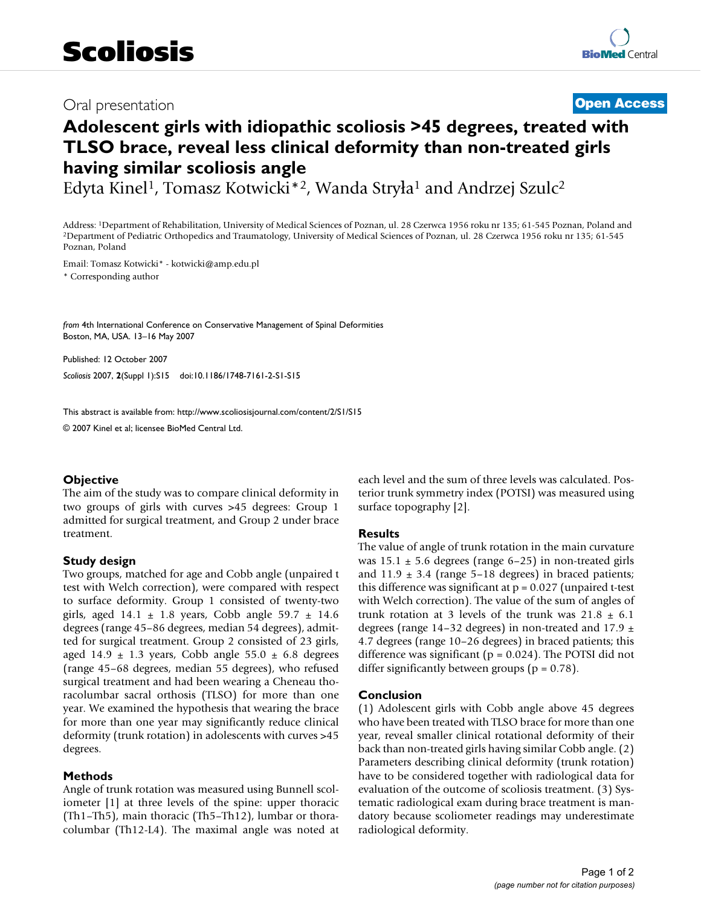## Oral presentation **[Open Access](http://www.biomedcentral.com/info/about/charter/)**

# **Adolescent girls with idiopathic scoliosis >45 degrees, treated with TLSO brace, reveal less clinical deformity than non-treated girls having similar scoliosis angle**

Edyta Kinel<sup>1</sup>, Tomasz Kotwicki\*<sup>2</sup>, Wanda Stryła<sup>1</sup> and Andrzej Szulc<sup>2</sup>

Address: <sup>1</sup>Department of Rehabilitation, University of Medical Sciences of Poznan, ul. 28 Czerwca 1956 roku nr 135; 61-545 Poznan, Poland and <sup>2</sup>Department of Pediatric Orthopedics and Traumatology, University of Medical Poznan, Poland

Email: Tomasz Kotwicki\* - kotwicki@amp.edu.pl

\* Corresponding author

*from* 4th International Conference on Conservative Management of Spinal Deformities Boston, MA, USA. 13–16 May 2007

Published: 12 October 2007 *Scoliosis* 2007, **2**(Suppl 1):S15 doi:10.1186/1748-7161-2-S1-S15

[This abstract is available from: http://www.scoliosisjournal.com/content/2/S1/S15](http://www.scoliosisjournal.com/content/2/S1/S15)

© 2007 Kinel et al; licensee BioMed Central Ltd.

### **Objective**

The aim of the study was to compare clinical deformity in two groups of girls with curves >45 degrees: Group 1 admitted for surgical treatment, and Group 2 under brace treatment.

### **Study design**

Two groups, matched for age and Cobb angle (unpaired t test with Welch correction), were compared with respect to surface deformity. Group 1 consisted of twenty-two girls, aged  $14.1 \pm 1.8$  years, Cobb angle  $59.7 \pm 14.6$ degrees (range 45–86 degrees, median 54 degrees), admitted for surgical treatment. Group 2 consisted of 23 girls, aged 14.9  $\pm$  1.3 years, Cobb angle 55.0  $\pm$  6.8 degrees (range 45–68 degrees, median 55 degrees), who refused surgical treatment and had been wearing a Cheneau thoracolumbar sacral orthosis (TLSO) for more than one year. We examined the hypothesis that wearing the brace for more than one year may significantly reduce clinical deformity (trunk rotation) in adolescents with curves >45 degrees.

#### **Methods**

Angle of trunk rotation was measured using Bunnell scoliometer [1] at three levels of the spine: upper thoracic (Th1–Th5), main thoracic (Th5–Th12), lumbar or thoracolumbar (Th12-L4). The maximal angle was noted at each level and the sum of three levels was calculated. Posterior trunk symmetry index (POTSI) was measured using surface topography [2].

#### **Results**

The value of angle of trunk rotation in the main curvature was  $15.1 \pm 5.6$  degrees (range 6–25) in non-treated girls and  $11.9 \pm 3.4$  (range 5–18 degrees) in braced patients; this difference was significant at  $p = 0.027$  (unpaired t-test with Welch correction). The value of the sum of angles of trunk rotation at 3 levels of the trunk was  $21.8 \pm 6.1$ degrees (range 14–32 degrees) in non-treated and 17.9  $\pm$ 4.7 degrees (range 10–26 degrees) in braced patients; this difference was significant ( $p = 0.024$ ). The POTSI did not differ significantly between groups ( $p = 0.78$ ).

#### **Conclusion**

(1) Adolescent girls with Cobb angle above 45 degrees who have been treated with TLSO brace for more than one year, reveal smaller clinical rotational deformity of their back than non-treated girls having similar Cobb angle. (2) Parameters describing clinical deformity (trunk rotation) have to be considered together with radiological data for evaluation of the outcome of scoliosis treatment. (3) Systematic radiological exam during brace treatment is mandatory because scoliometer readings may underestimate radiological deformity.